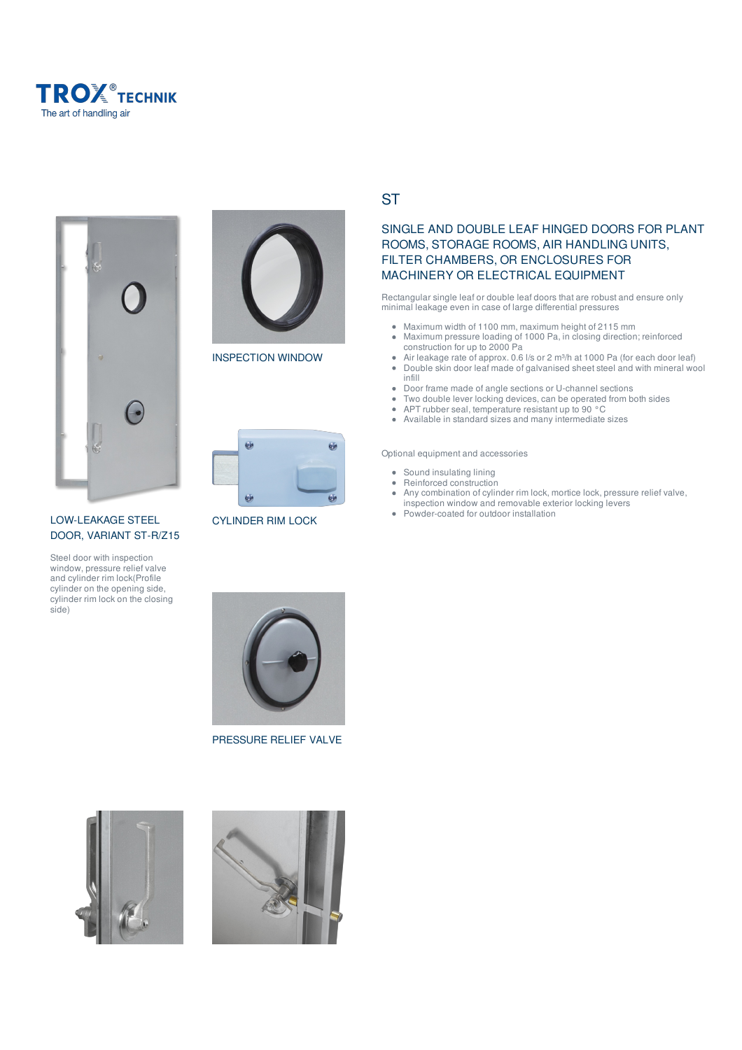





INSPECTION WINDOW



CYLINDER RIM LOCK

LOW-LEAKAGE STEEL DOOR, VARIANT ST-R/Z15

Steel door with inspection window, pressure relief valve and cylinder rim lock(Profile cylinder on the opening side, cylinder rim lock on the closing side)



**ST** 

# SINGLE AND DOUBLE LEAF HINGED DOORS FOR PLANT ROOMS, STORAGE ROOMS, AIR HANDLING UNITS, FILTER CHAMBERS, OR ENCLOSURES FOR MACHINERY OR ELECTRICAL EQUIPMENT

Rectangular single leaf or double leaf doors that are robust and ensure only minimal leakage even in case of large differential pressures

- Maximum width of 1100 mm, maximum height of 2115 mm Maximum pressure loading of 1000 Pa, in closing direction; reinforced
	- construction for up to 2000 Pa Air leakage rate of approx. 0.6 l/s or 2 m³/h at 1000 Pa (for each door leaf)
- $\bullet$ Double skin door leaf made of galvanised sheet steel and with mineral wool infill
- $\bullet$ Door frame made of angle sections or U-channel sections
- Two double lever locking devices, can be operated from both sides  $\bullet$
- $\bullet$ APT rubber seal, temperature resistant up to 90 °C
- $\bullet$ Available in standard sizes and many intermediate sizes

Optional equipment and accessories

- Sound insulating lining
- Reinforced construction
- $\bullet$ Any combination of cylinder rim lock, mortice lock, pressure relief valve, inspection window and removable exterior locking levers
- $\bullet$ Powder-coated for outdoor installation



PRESSURE RELIEF VALVE



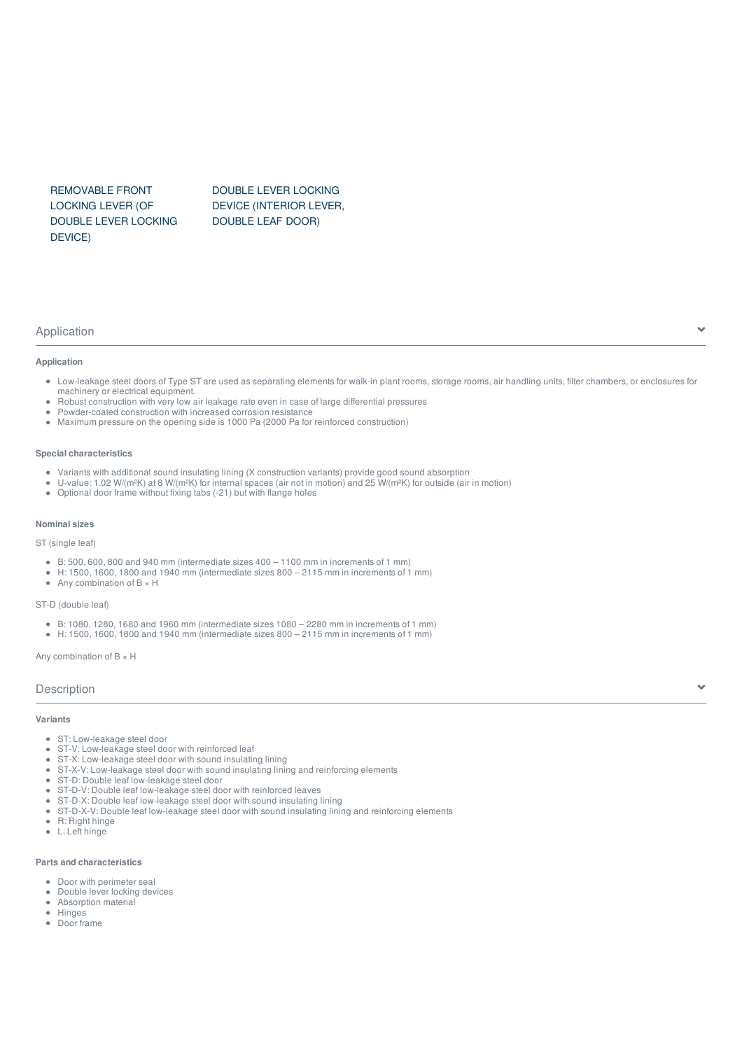REMOVABLE FRONT LOCKING LEVER (OF DOUBLE LEVER LOCKING DEVICE)

DOUBLE LEVER LOCKING DEVICE (INTERIOR LEVER, DOUBLE LEAF DOOR)

#### Application

# **Application**

- Low-leakage steel doors of Type ST are used as separating elements for walk-in plant rooms, storage rooms, air handling units, filter chambers, or enclosures for machinery or electrical equipment.
- Robust construction with very low air leakage rate even in case of large differential pressures
- Powder-coated construction with increased corrosion resistance
- $\alpha$  . Maximum pressure on the opening side is 1000 Pa (2000 Pa for reinforced construction)

#### **Special characteristics**

- Variants with additional sound insulating lining (X construction variants) provide good sound absorption
- U-value: 1.02 W/(m²K) at 8 W/(m²K) for internal spaces (air not in motion) and 25 W/(m²K) for outside (air in motion)
- $\bullet$ Optional door frame without fixing tabs (-21) but with flange holes

#### **Nominal sizes**

ST (single leaf)

- B: 500, 600, 800 and 940 mm (intermediate sizes 400 1100 mm in increments of 1 mm)
- $\bullet$  H: 1500, 1600, 1800 and 1940 mm (intermediate sizes 800 2115 mm in increments of 1 mm)
- Any combination of  $B \times H$

#### ST-D (double leaf)

- B: 1080, 1280, 1680 and 1960 mm (intermediate sizes 1080 2280 mm in increments of 1 mm)
- H: 1500, 1600, 1800 and 1940 mm (intermediate sizes 800 2115 mm in increments of 1 mm)

Any combination of  $B \times H$ 

#### **Description**

#### **Variants**

- ST: Low-leakage steel door
- ST-V: Low-leakage steel door with reinforced leaf
- ST-X: Low-leakage steel door with sound insulating lining
- ST-X-V: Low-leakage steel door with sound insulating lining and reinforcing elements
- ST-D: Double leaf low-leakage steel door
- ST-D-V: Double leaf low-leakage steel door with reinforced leaves
- $\bullet$ ST-D-X: Double leaf low-leakage steel door with sound insulating lining
- ST-D-X-V: Double leaf low-leakage steel door with sound insulating lining and reinforcing elements  $\bullet$
- $\bullet$ R: Right hinge
- L: Left hinge

#### **Parts and characteristics**

- Door with perimeter seal
- Double lever locking devices  $\bullet$ Absorption material  $\bullet$
- **Hinges**
- Door frame

Y.

Y.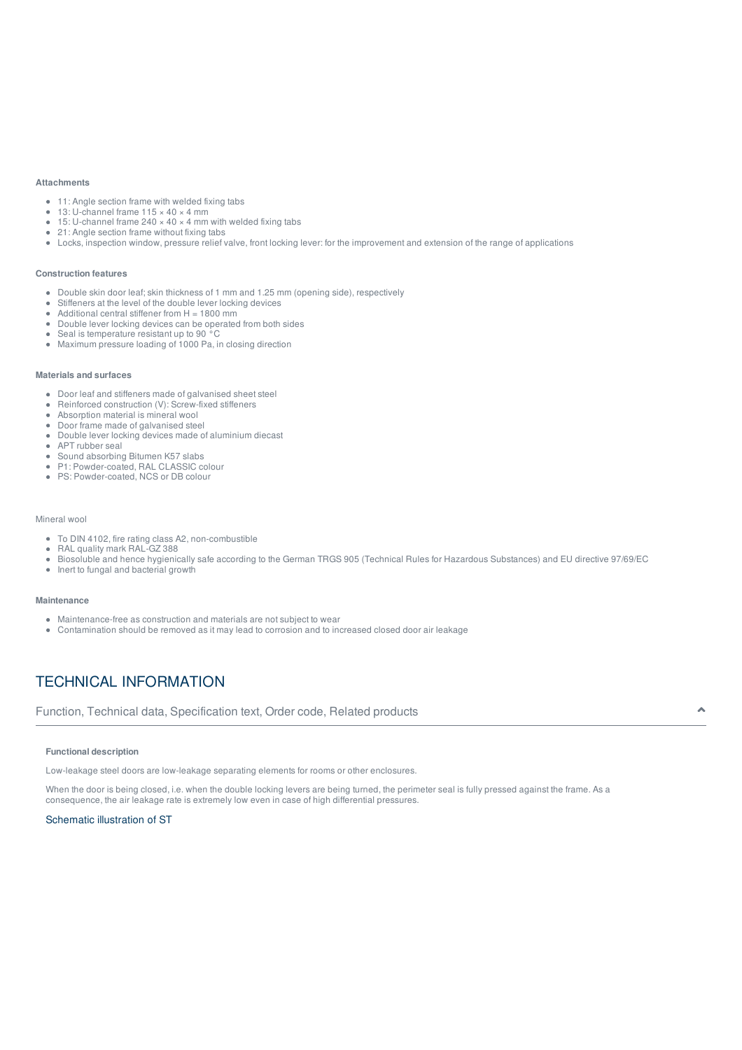#### **Attachments**

- 11: Angle section frame with welded fixing tabs
- 13: U-channel frame 115 × 40 × 4 mm
- 15: U-channel frame 240  $\times$  40  $\times$  4 mm with welded fixing tabs
- 21: Angle section frame without fixing tabs
- Locks, inspection window, pressure relief valve, front locking lever: for the improvement and extension of the range of applications

#### **Construction features**

- Double skin door leaf; skin thickness of 1 mm and 1.25 mm (opening side), respectively
- $\alpha$ Stiffeners at the level of the double lever locking devices
- Additional central stiffener from  $H = 1800$  mm  $\bullet$
- $\bullet$ Double lever locking devices can be operated from both sides
- Seal is temperature resistant up to 90 °C
- Maximum pressure loading of 1000 Pa, in closing direction

### **Materials and surfaces**

- Door leaf and stiffeners made of galvanised sheet steel
- Reinforced construction (V): Screw-fixed stiffeners
- $\bullet$ Absorption material is mineral wool
- Door frame made of galvanised steel
- Double lever locking devices made of aluminium diecast
- APT rubber seal
- Sound absorbing Bitumen K57 slabs
- P1: Powder-coated, RAL CLASSIC colour
- PS: Powder-coated, NCS or DB colour

#### Mineral wool

- To DIN 4102, fire rating class A2, non-combustible
- RAL quality mark RAL-GZ 388  $\bullet$
- Biosoluble and hence hygienically safe according to the German TRGS 905 (Technical Rules for Hazardous Substances) and EU directive 97/69/EC  $\bullet$
- $\bullet$ Inert to fungal and bacterial growth

#### **Maintenance**

- Maintenance-free as construction and materials are not subject to wear
- Contamination should be removed as it may lead to corrosion and to increased closed door air leakage

# TECHNICAL INFORMATION

Function, Technical data, Specification text, Order code, Related products

#### **Functional description**

Low-leakage steel doors are low-leakage separating elements for rooms or other enclosures.

When the door is being closed, i.e. when the double locking levers are being turned, the perimeter seal is fully pressed against the frame. As a consequence, the air leakage rate is extremely low even in case of high differential pressures.

#### Schematic illustration of ST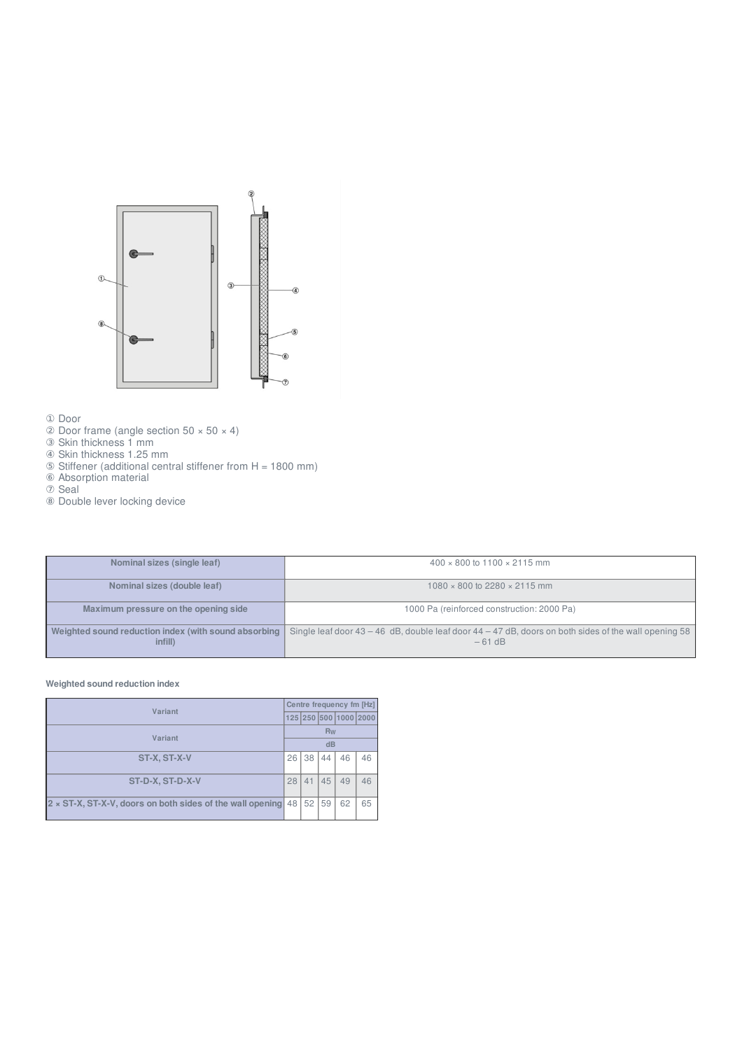

① Door

- $\textcircled{2}$  Door frame (angle section 50  $\times$  50  $\times$  4)
- ③ Skin thickness 1 mm
- ④ Skin thickness 1.25 mm
- ⑤ Stiffener (additional central stiffener from H = 1800 mm)
- ⑥ Absorption material
- ⑦ Seal
- ⑧ Double lever locking device

| Nominal sizes (single leaf)                                     | $400 \times 800$ to $1100 \times 2115$ mm                                                                            |
|-----------------------------------------------------------------|----------------------------------------------------------------------------------------------------------------------|
| Nominal sizes (double leaf)                                     | $1080 \times 800$ to 2280 $\times$ 2115 mm                                                                           |
| Maximum pressure on the opening side                            | 1000 Pa (reinforced construction: 2000 Pa)                                                                           |
| Weighted sound reduction index (with sound absorbing<br>infill) | Single leaf door $43 - 46$ dB, double leaf door $44 - 47$ dB, doors on both sides of the wall opening 58<br>$-61$ dB |

# **Weighted sound reduction index**

| Variant                                                   |    | Centre frequency fm [Hz] |           |                       |    |
|-----------------------------------------------------------|----|--------------------------|-----------|-----------------------|----|
|                                                           |    |                          |           | 125 250 500 1000 2000 |    |
| Variant                                                   |    |                          | <b>Rw</b> |                       |    |
|                                                           |    |                          | dB        |                       |    |
| 26<br>ST-X, ST-X-V                                        |    | 38                       | 44        | 46                    | 46 |
|                                                           |    |                          |           |                       |    |
| ST-D-X, ST-D-X-V                                          | 28 | 41                       | 45        | 49                    | 46 |
|                                                           |    |                          |           |                       |    |
| 2 x ST-X, ST-X-V, doors on both sides of the wall opening | 48 | 52                       | 59        | 62                    | 65 |
|                                                           |    |                          |           |                       |    |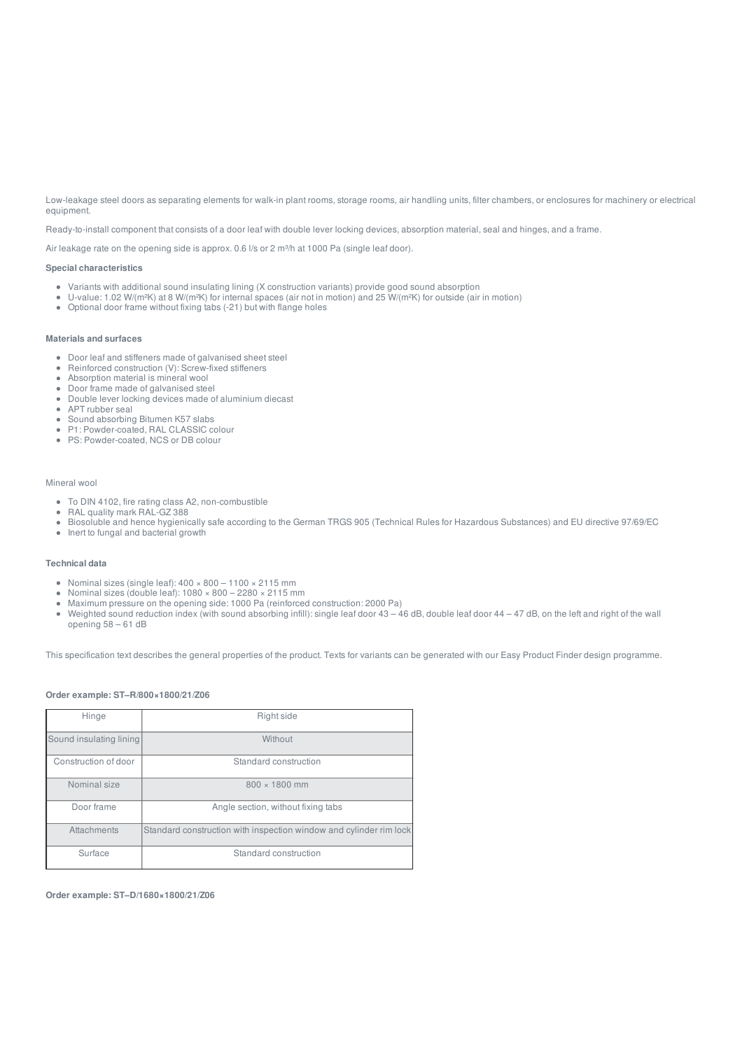Low-leakage steel doors as separating elements for walk-in plant rooms, storage rooms, air handling units, filter chambers, or enclosures for machinery or electrical equipment.

Ready-to-install component that consists of a door leaf with double lever locking devices, absorption material, seal and hinges, and a frame.

Air leakage rate on the opening side is approx. 0.6 l/s or 2 m<sup>3</sup>/h at 1000 Pa (single leaf door).

#### **Special characteristics**

- Variants with additional sound insulating lining (X construction variants) provide good sound absorption
- U-value: 1.02 W/(m²K) at 8 W/(m²K) for internal spaces (air not in motion) and 25 W/(m²K) for outside (air in motion)
- Optional door frame without fixing tabs (-21) but with flange holes

#### **Materials and surfaces**

- Door leaf and stiffeners made of galvanised sheet steel
- Reinforced construction (V): Screw-fixed stiffeners  $\bullet$
- Absorption material is mineral wool
- Door frame made of galvanised steel
- Double lever locking devices made of aluminium diecast
- APT rubber seal
- Sound absorbing Bitumen K57 slabs
- P1: Powder-coated, RAL CLASSIC colour
- PS: Powder-coated, NCS or DB colour

#### Mineral wool

- To DIN 4102, fire rating class A2, non-combustible
- RAL quality mark RAL-GZ 388
- Biosoluble and hence hygienically safe according to the German TRGS 905 (Technical Rules for Hazardous Substances) and EU directive 97/69/EC
- Inert to fungal and bacterial growth

#### **Technical data**

- Nominal sizes (single leaf):  $400 \times 800 1100 \times 2115$  mm
- Nominal sizes (double leaf): 1080 × 800 2280 × 2115 mm  $\bullet$
- Maximum pressure on the opening side: 1000 Pa (reinforced construction: 2000 Pa)
- $\bullet$ Weighted sound reduction index (with sound absorbing infill): single leaf door 43 – 46 dB, double leaf door 44 – 47 dB, on the left and right of the wall opening 58 – 61 dB

This specification text describes the general properties of the product. Texts for variants can be generated with our Easy Product Finder design programme.

#### **Order example: ST–R/800×1800/21/Z06**

| Hinge                   | Right side                                                         |
|-------------------------|--------------------------------------------------------------------|
|                         |                                                                    |
| Sound insulating lining | Without                                                            |
|                         |                                                                    |
| Construction of door    | Standard construction                                              |
|                         |                                                                    |
| Nominal size            | $800 \times 1800$ mm                                               |
|                         |                                                                    |
| Door frame              | Angle section, without fixing tabs                                 |
|                         |                                                                    |
| Attachments             | Standard construction with inspection window and cylinder rim lock |
|                         |                                                                    |
| Surface                 | Standard construction                                              |
|                         |                                                                    |

**Order example: ST–D/1680×1800/21/Z06**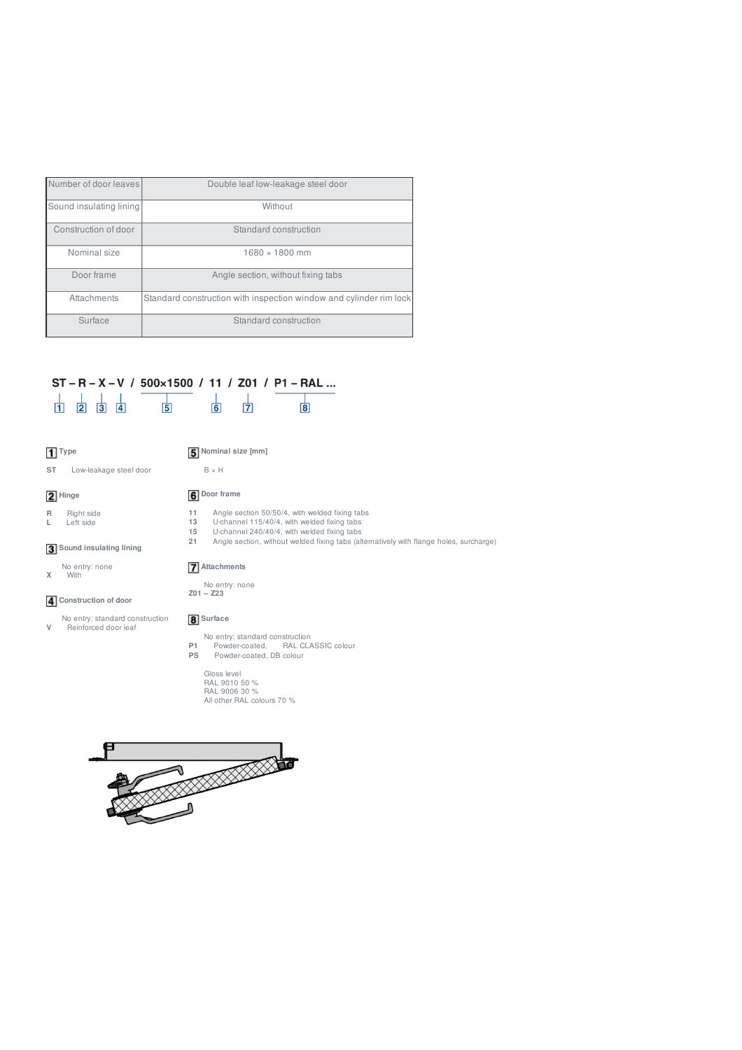| Number of door leaves   | Double leaf low-leakage steel door                                 |
|-------------------------|--------------------------------------------------------------------|
| Sound insulating lining | Without                                                            |
| Construction of door    | Standard construction                                              |
| Nominal size            | $1680 \times 1800$ mm                                              |
| Door frame              | Angle section, without fixing tabs                                 |
| Attachments             | Standard construction with inspection window and cylinder rim lock |
| Surface                 | Standard construction                                              |

#### ST-R-X-V / 500×1500 / 11 / Z01 / P1-RAL...  $\frac{1}{11}$   $\frac{1}{2}$   $\frac{1}{3}$   $\frac{1}{4}$  $\frac{1}{6}$  $\frac{1}{7}$  $\frac{1}{5}$  $\overline{8}$

# **Type**

**2** Hinge

# **Nominal size [mm]**  $\,$  B  $\times$  H

**ST** Low-leakage steel door

# **Door frame**

- **R** Right side
- **L** Left side

#### **Sound insulating lining**

No entry: standard construction **V** Reinforced door leaf

No entry: none **X** With

**Construction of door**

- 
- No entry: standard construction **P1** Powder-coated, RAL CLASSIC colour **PS** Powder-coated, DB colour
	- Gloss level RAL 9010 50 % RAL 9006 30 % All other RAL colours 70 %



- **11** Angle section 50/50/4, with welded fixing tabs **13** U-channel 115/40/4, with welded fixing tabs
- 
- 15 U-channel 240/40/4, with welded fixing tabs<br>21 Angle section, without welded fixing tabs (alt **21** Angle section, without welded fixing tabs (alternatively with flange holes, surcharge)

# **Attachments**

No entry: none **Z01 – Z23**

# **8** Surface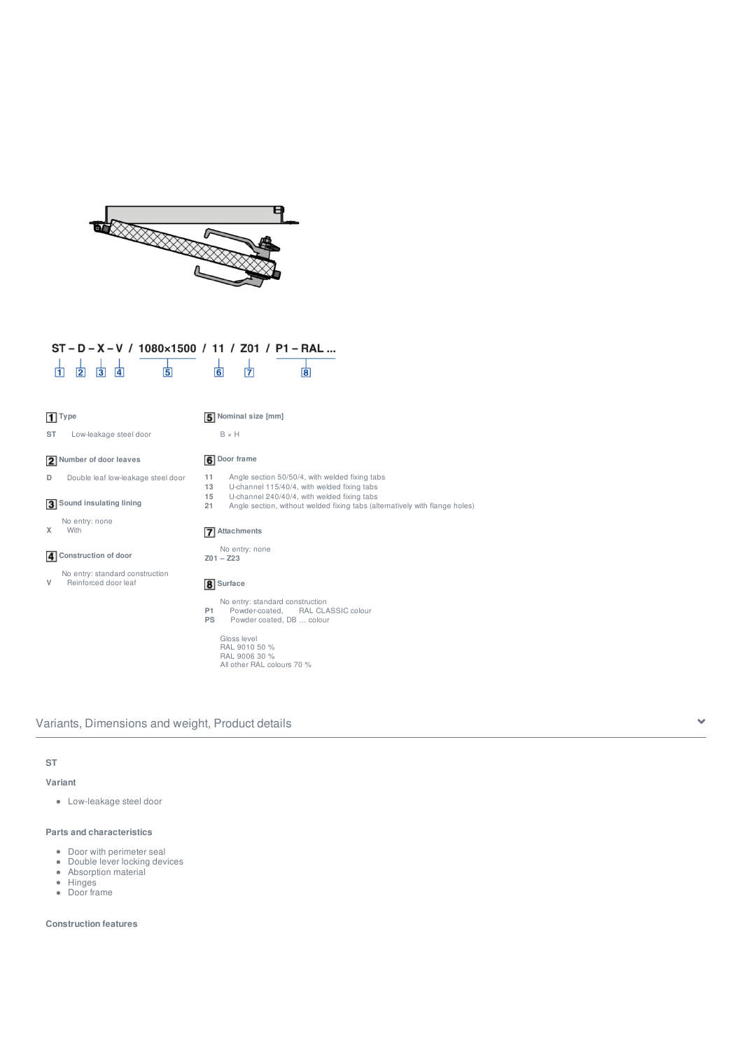

| ST-D-X-V / 1080×1500 / 11 / Z01 / P1-RAL                      |                                                                                                                                        |
|---------------------------------------------------------------|----------------------------------------------------------------------------------------------------------------------------------------|
| 固<br>$\overline{2}$<br>$\overline{3}$<br>$\overline{4}$<br>11 | $\overline{6}$<br>17<br>$\overline{\mathbf{8}}$                                                                                        |
| $1$ Type                                                      | 5 Nominal size [mm]                                                                                                                    |
| ST<br>Low-leakage steel door                                  | $B \times H$                                                                                                                           |
| 2 Number of door leaves                                       | <b>6</b> Door frame                                                                                                                    |
| D<br>Double leaf low-leakage steel door                       | Angle section 50/50/4, with welded fixing tabs<br>11<br>13<br>U-channel 115/40/4, with welded fixing tabs                              |
| 3 Sound insulating lining                                     | 15<br>U-channel 240/40/4, with welded fixing tabs<br>21<br>Angle section, without welded fixing tabs (alternatively with flange holes) |
| No entry: none<br>X<br>With                                   | 7 Attachments                                                                                                                          |
| 4 Construction of door                                        | No entry: none<br>$Z01 - Z23$                                                                                                          |
| No entry: standard construction<br>V<br>Reinforced door leaf  | 8 Surface                                                                                                                              |
|                                                               | No entry: standard construction<br>Powder-coated,<br>RAL CLASSIC colour<br><b>P1</b><br><b>PS</b><br>Powder coated, DB  colour         |
|                                                               | Gloss level<br>RAL 9010 50 %<br>RAL 9006 30 %<br>All other RAL colours 70 %                                                            |

Variants, Dimensions and weight, Product details

# **ST**

## **Variant**

Low-leakage steel door

## **Parts and characteristics**

- Door with perimeter seal
- Double lever locking devices
- Absorption material
- Hinges
- Door frame

#### **Construction features**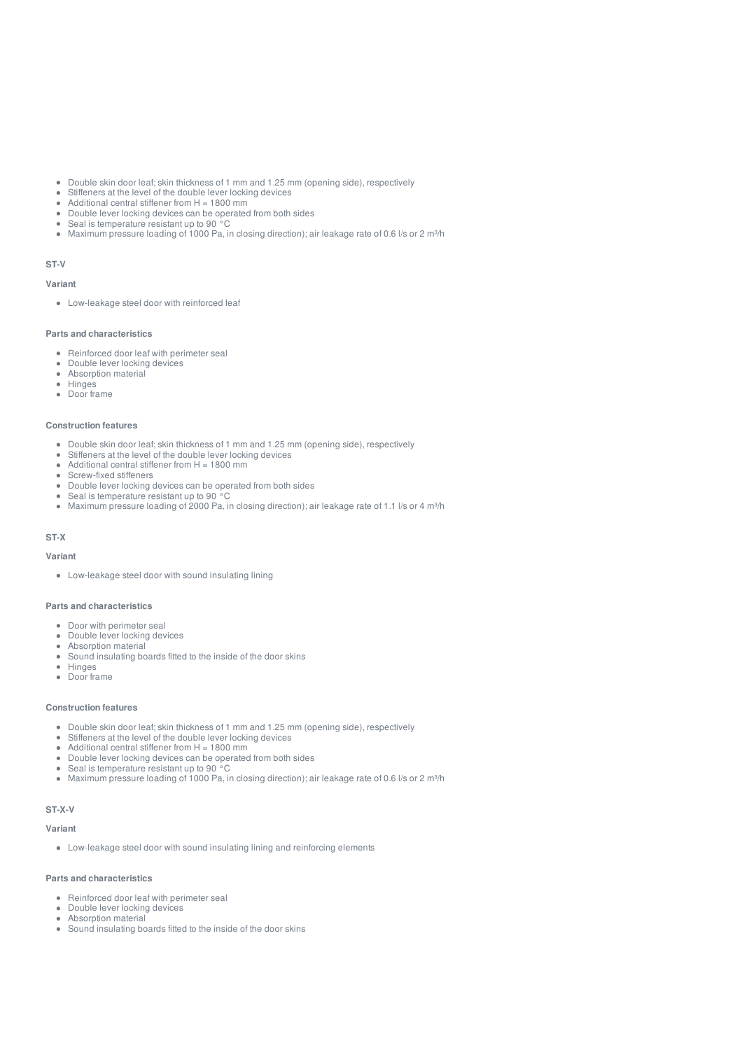- $\hat{\bullet}$ Double skin door leaf; skin thickness of 1 mm and 1.25 mm (opening side), respectively
- Stiffeners at the level of the double lever locking devices  $\bullet$
- Additional central stiffener from  $H = 1800$  mm
- $\bullet$ Double lever locking devices can be operated from both sides
- Seal is temperature resistant up to 90 °C
- Maximum pressure loading of 1000 Pa, in closing direction); air leakage rate of 0.6 l/s or 2 m<sup>3</sup>/h  $\bullet$

# **ST-V**

#### **Variant**

Low-leakage steel door with reinforced leaf

#### **Parts and characteristics**

- Reinforced door leaf with perimeter seal
- Double lever locking devices  $\bullet$
- $\bullet$ Absorption material
- **Hinges**  $\bullet$
- $\sim$ Door frame

#### **Construction features**

- Double skin door leaf; skin thickness of 1 mm and 1.25 mm (opening side), respectively
- Stiffeners at the level of the double lever locking devices
- Additional central stiffener from  $H = 1800$  mm  $\mathbf{r}$
- Screw-fixed stiffeners  $\bullet$ Double lever locking devices can be operated from both sides
- Seal is temperature resistant up to 90 °C  $\ddot{\phantom{a}}$
- $\bullet$ Maximum pressure loading of 2000 Pa, in closing direction); air leakage rate of 1.1 l/s or 4 m<sup>3</sup>/h

### **ST-X**

#### **Variant**

Low-leakage steel door with sound insulating lining

### **Parts and characteristics**

- Door with perimeter seal
- Double lever locking devices
- $\bullet$ Absorption material
- Sound insulating boards fitted to the inside of the door skins
- $\bullet$ Hinges
- $\bullet$ Door frame

#### **Construction features**

- Double skin door leaf; skin thickness of 1 mm and 1.25 mm (opening side), respectively
- $\bullet$ Stiffeners at the level of the double lever locking devices
- $\alpha$ Additional central stiffener from  $H = 1800$  mm
- $\bullet$ Double lever locking devices can be operated from both sides
- Seal is temperature resistant up to 90 °C  $\bullet$
- Maximum pressure loading of 1000 Pa, in closing direction); air leakage rate of 0.6 l/s or 2 m<sup>3</sup>/h  $\alpha$  .

#### **ST-X-V**

#### **Variant**

Low-leakage steel door with sound insulating lining and reinforcing elements

#### **Parts and characteristics**

- Reinforced door leaf with perimeter seal
- Double lever locking devices  $\bullet$
- $\bullet$ Absorption material
- Sound insulating boards fitted to the inside of the door skins $\alpha$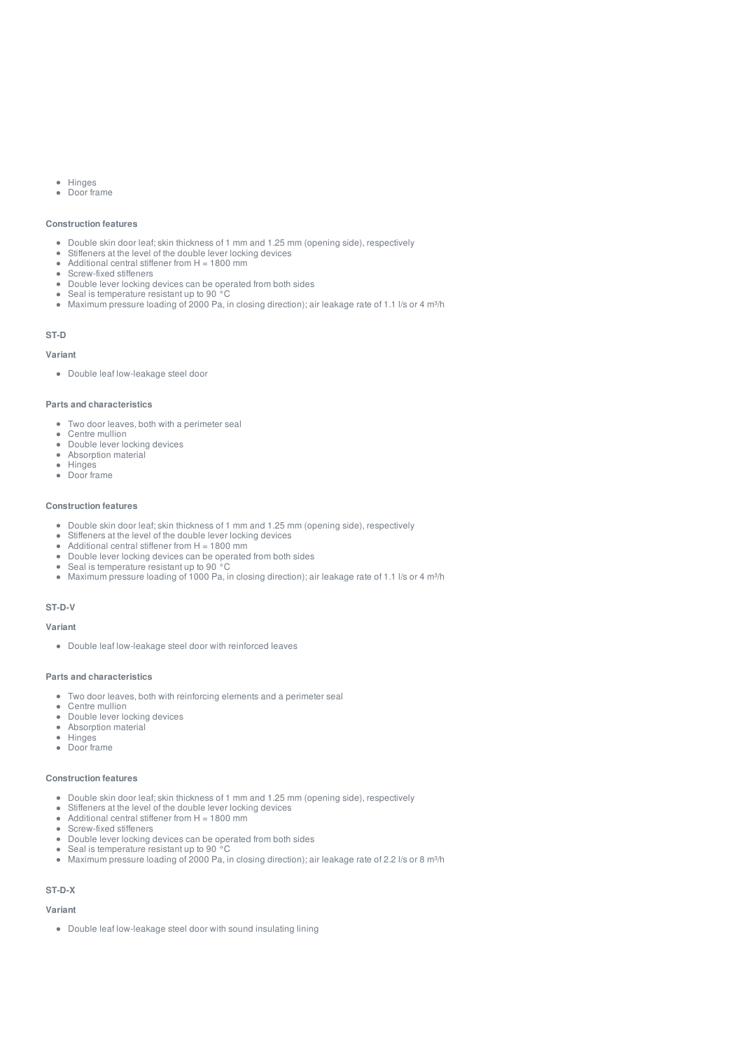- Hinges  $\bullet$
- $\bullet$ Door frame

#### **Construction features**

- Double skin door leaf; skin thickness of 1 mm and 1.25 mm (opening side), respectively
- Statistic start asset today start and answers of the minimal transmitted in Stiffeners at the level of the double lever locking devices  $\bullet$
- Additional central stiffener from H = 1800 mm  $\bullet$
- Screw-fixed stiffeners  $\bullet$
- Double lever locking devices can be operated from both sides Seal is temperature resistant up to 90 °C  $\bullet$
- $\bullet$ Maximum pressure loading of 2000 Pa, in closing direction); air leakage rate of 1.1 l/s or 4 m<sup>3</sup>/h

#### **ST-D**

#### **Variant**

Double leaf low-leakage steel door

#### **Parts and characteristics**

- Two door leaves, both with a perimeter seal
- Centre mullion
- Double lever locking devices
- Absorption material
- **Hinges**  $\mathbf{r}$ Door frame
- 

#### **Construction features**

- Double skin door leaf; skin thickness of 1 mm and 1.25 mm (opening side), respectively
- Stiffeners at the level of the double lever locking devices  $\bullet$
- Additional central stiffener from  $H = 1800$  mm
- Double lever locking devices can be operated from both sides
- Seal is temperature resistant up to 90 °C
- Maximum pressure loading of 1000 Pa, in closing direction); air leakage rate of 1.1 l/s or 4 m<sup>3</sup>/h  $\bullet$

#### **ST-D-V**

### **Variant**

Double leaf low-leakage steel door with reinforced leaves

#### **Parts and characteristics**

- Two door leaves, both with reinforcing elements and a perimeter seal
- Centre mullion  $\ddot{\phantom{a}}$
- $\bullet$ Double lever locking devices Absorption material  $\bullet$
- $\sim$ Hinges
- Door frame

#### **Construction features**

- Double skin door leaf; skin thickness of 1 mm and 1.25 mm (opening side), respectively
- $\bullet$ Stiffeners at the level of the double lever locking devices
- Additional central stiffener from  $H = 1800$  mm
- $\bullet$ Screw-fixed stiffeners
- Double lever locking devices can be operated from both sides  $\Delta$
- $\bullet$ Seal is temperature resistant up to 90 °C
- $\sim$ Maximum pressure loading of 2000 Pa, in closing direction); air leakage rate of 2.2 l/s or 8 m<sup>3</sup>/h

#### **ST-D-X**

#### **Variant**

Double leaf low-leakage steel door with sound insulating lining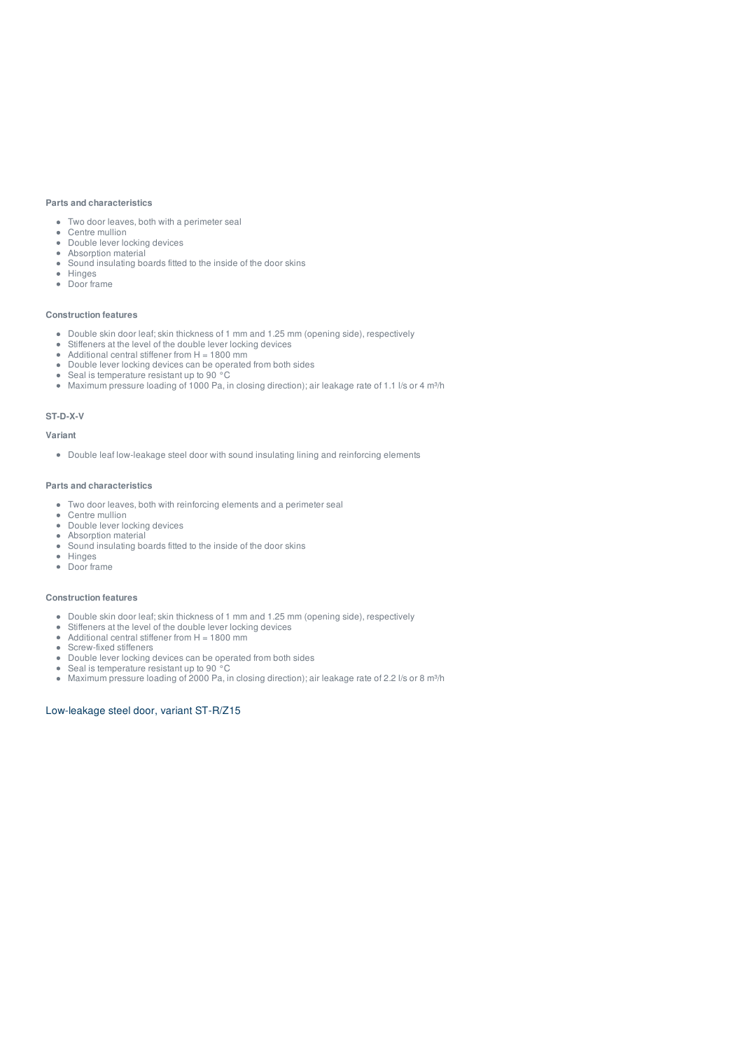#### **Parts and characteristics**

- Two door leaves, both with a perimeter seal
- Centre mullion
- Double lever locking devices • Absorption material
- Sound insulating boards fitted to the inside of the door skins
- Hinges  $\bullet$
- Door frame

#### **Construction features**

- Double skin door leaf; skin thickness of 1 mm and 1.25 mm (opening side), respectively
- Stiffeners at the level of the double lever locking devices
- Additional central stiffener from H = 1800 mm  $\bullet$
- Double lever locking devices can be operated from both sides  $\bullet$ Seal is temperature resistant up to 90 °C
- Maximum pressure loading of 1000 Pa, in closing direction); air leakage rate of 1.1 l/s or 4 m<sup>3</sup>/h

#### **ST-D-X-V**

#### **Variant**

Double leaf low-leakage steel door with sound insulating lining and reinforcing elements

#### **Parts and characteristics**

- Two door leaves, both with reinforcing elements and a perimeter seal
- Centre mullion
- Double lever locking devices
- Absorption material
- Sound insulating boards fitted to the inside of the door skins  $\bullet$
- $\bullet$ Hinges
- Door frame

#### **Construction features**

- Double skin door leaf; skin thickness of 1 mm and 1.25 mm (opening side), respectively
- Stiffeners at the level of the double lever locking devices
- Additional central stiffener from  $H = 1800$  mm  $\bullet$
- $\bullet$ Screw-fixed stiffeners
- Double lever locking devices can be operated from both sides  $\bullet$
- Seal is temperature resistant up to 90 °C
- $\bullet$ Maximum pressure loading of 2000 Pa, in closing direction); air leakage rate of 2.2 l/s or 8 m<sup>3</sup>/h

#### Low-leakage steel door, variant ST-R/Z15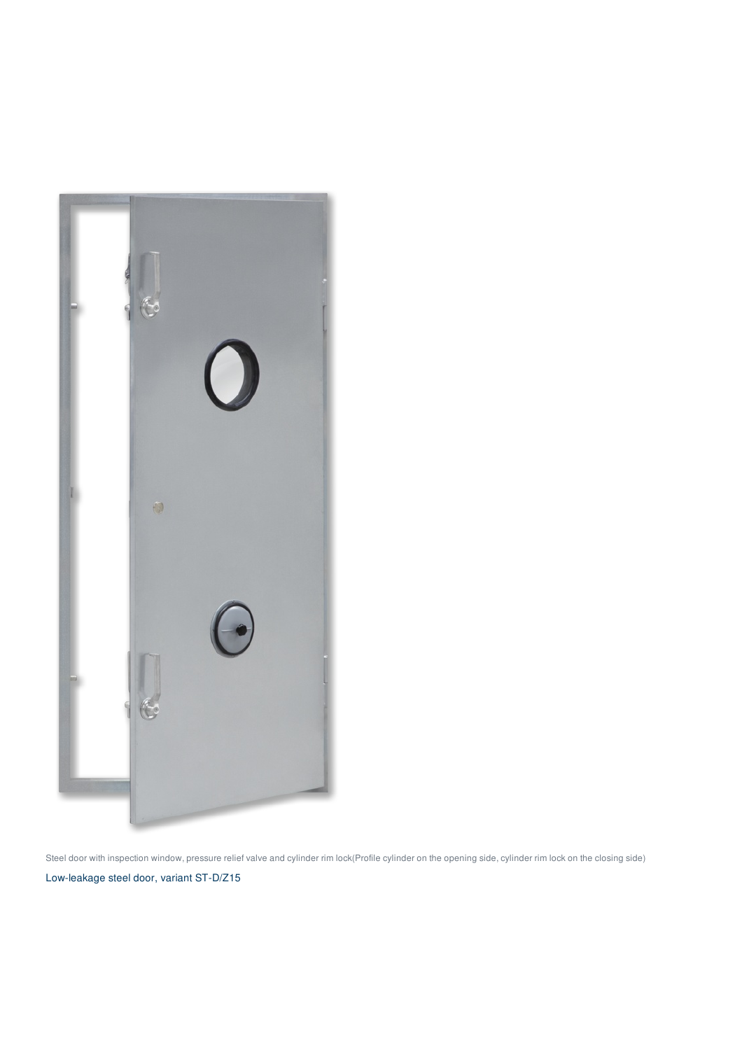

Steel door with inspection window, pressure relief valve and cylinder rim lock(Profile cylinder on the opening side, cylinder rim lock on the closing side) Low-leakage steel door, variant ST-D/Z15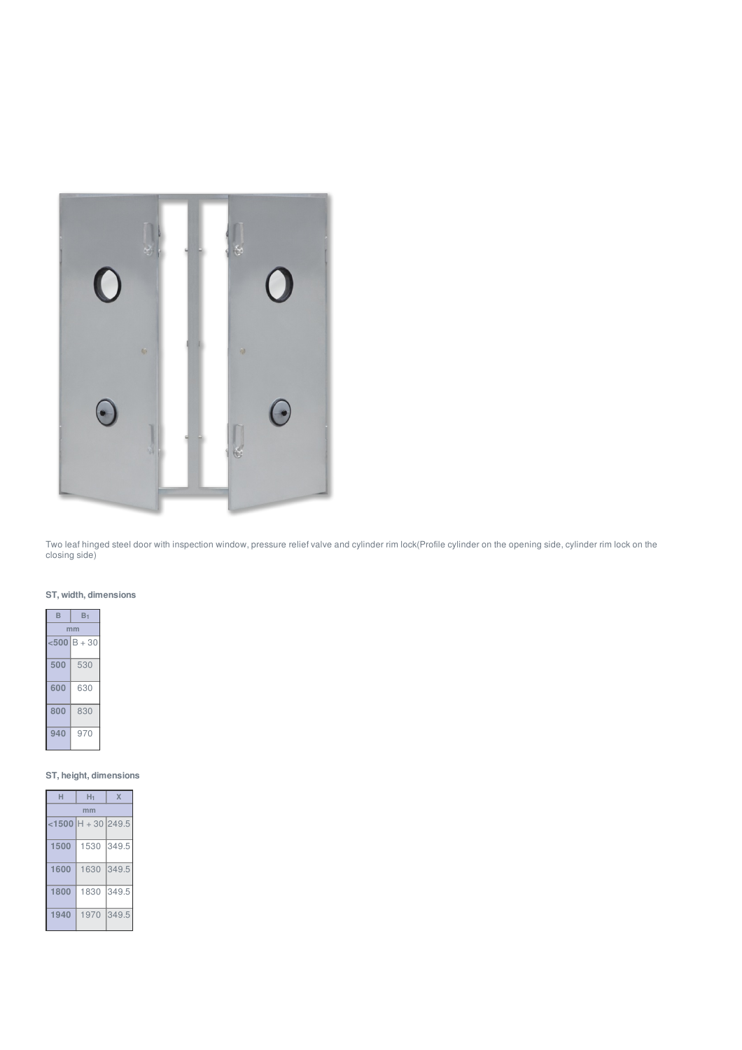

Two leaf hinged steel door with inspection window, pressure relief valve and cylinder rim lock(Profile cylinder on the opening side, cylinder rim lock on the closing side)

# **ST, width, dimensions**

| в     | B1       |  |
|-------|----------|--|
| mm    |          |  |
| $500$ | $B + 30$ |  |
| 500   | 530      |  |
| 600   | 630      |  |
| 800   | 830      |  |
| 940   | 970      |  |

# **ST, height, dimensions**

| H    | H1                    | X     |  |  |  |  |
|------|-----------------------|-------|--|--|--|--|
|      | mm                    |       |  |  |  |  |
|      | $<$ 1500 H + 30 249.5 |       |  |  |  |  |
| 1500 | 1530                  | 349.5 |  |  |  |  |
| 1600 | 1630                  | 349.5 |  |  |  |  |
| 1800 | 1830                  | 349.5 |  |  |  |  |
| 1940 | 1970                  | 349.5 |  |  |  |  |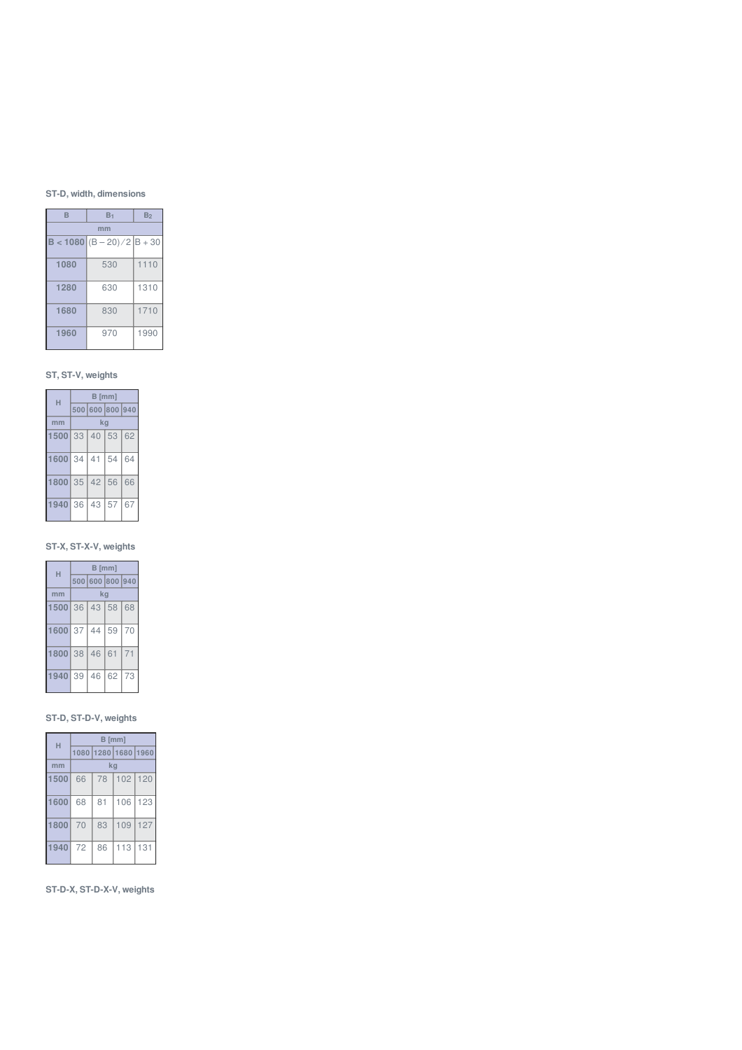# **ST-D, width, dimensions**

| B    | B <sub>1</sub>                      | B <sub>2</sub> |  |  |  |  |
|------|-------------------------------------|----------------|--|--|--|--|
|      | mm                                  |                |  |  |  |  |
|      | <b>B</b> < 1080 $(B - 20)/2$ B + 30 |                |  |  |  |  |
| 1080 | 530                                 | 1110           |  |  |  |  |
| 1280 | 630                                 | 1310           |  |  |  |  |
| 1680 | 830                                 | 1710           |  |  |  |  |
| 1960 | 970                                 | 1990           |  |  |  |  |

# **ST, ST-V, weights**

| н       | $B$ [mm] |                 |    |    |
|---------|----------|-----------------|----|----|
|         |          | 500 600 800 940 |    |    |
| mm      |          | ka              |    |    |
| 1500    |          | 33 40 53 62     |    |    |
| 1600 34 |          | 41              | 54 | 64 |
| 1800    | 35       | 42              | 56 | 66 |
| 1940 36 |          | 43              | 57 | 67 |

# **ST-X, ST-X-V, weights**

| н       | B [mm] |                 |       |    |
|---------|--------|-----------------|-------|----|
|         |        | 500 600 800 940 |       |    |
| mm      |        | kq              |       |    |
| 1500    | 36     |                 | 43 58 | 68 |
| 1600 37 |        | 44              | 59    | 70 |
| 1800    | 38     | 46              | 61    | 71 |
| 1940 39 |        | 46              | 62    | 73 |

# **ST-D, ST-D-V, weights**

| н    | $B$ [mm] |    |                     |     |
|------|----------|----|---------------------|-----|
|      |          |    | 1080 1280 1680 1960 |     |
| mm   |          | kg |                     |     |
| 1500 | 66       | 78 | 102 120             |     |
| 1600 | 68       | 81 | 106                 | 123 |
| 1800 | 70       | 83 | 109                 | 127 |
| 1940 | 72       | 86 | 113                 | 131 |

# **ST-D-X, ST-D-X-V, weights**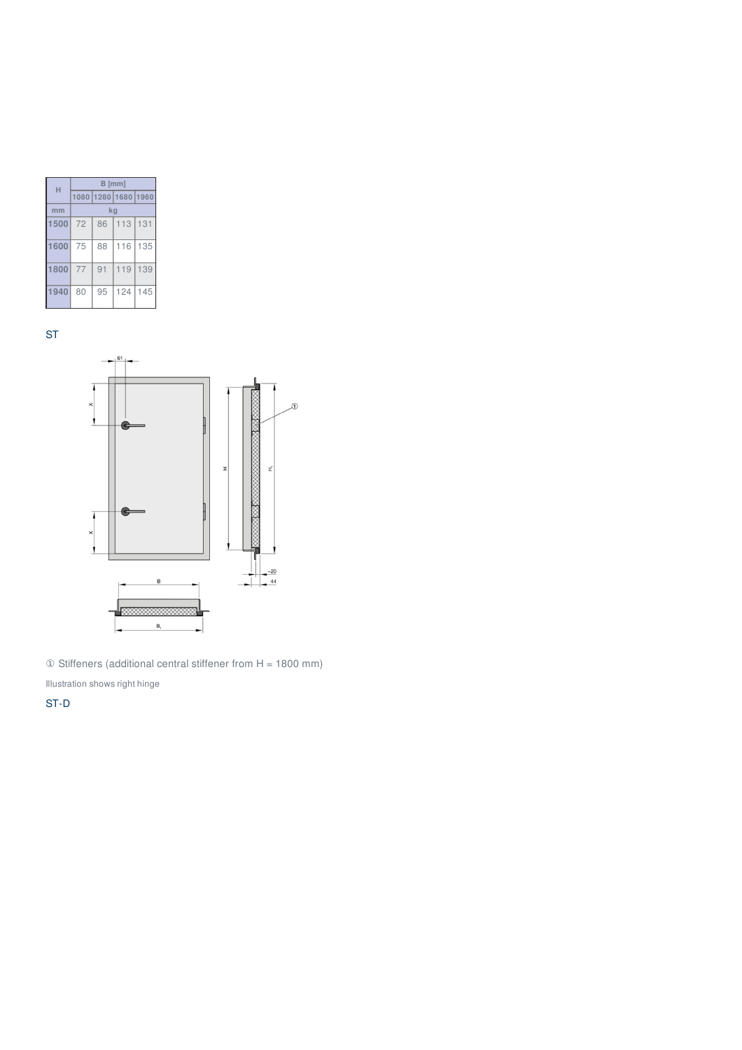| н    | B [mm] |    |                     |     |
|------|--------|----|---------------------|-----|
|      |        |    | 1080 1280 1680 1960 |     |
| mm   |        | ka |                     |     |
| 1500 | 72     | 86 | 113 131             |     |
| 1600 | 75     | 88 | 116                 | 135 |
| 1800 | 77     | 91 | 119                 | 139 |
| 1940 | 80     | 95 | 124                 | 145 |

ST



① Stiffeners (additional central stiffener from H = 1800 mm)

Illustration shows right hinge

ST-D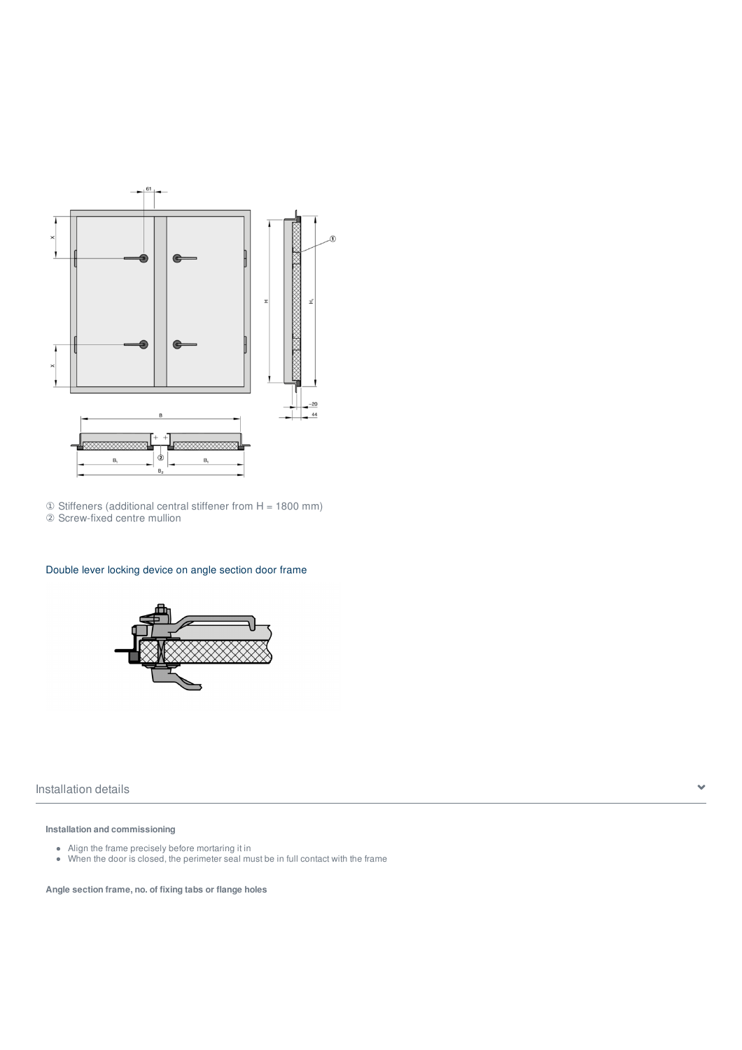

① Stiffeners (additional central stiffener from H = 1800 mm) ② Screw-fixed centre mullion

# Double lever locking device on angle section door frame



Installation details

### **Installation and commissioning**

- Align the frame precisely before mortaring it in
- When the door is closed, the perimeter seal must be in full contact with the frame

**Angle section frame, no. of fixing tabs or flange holes**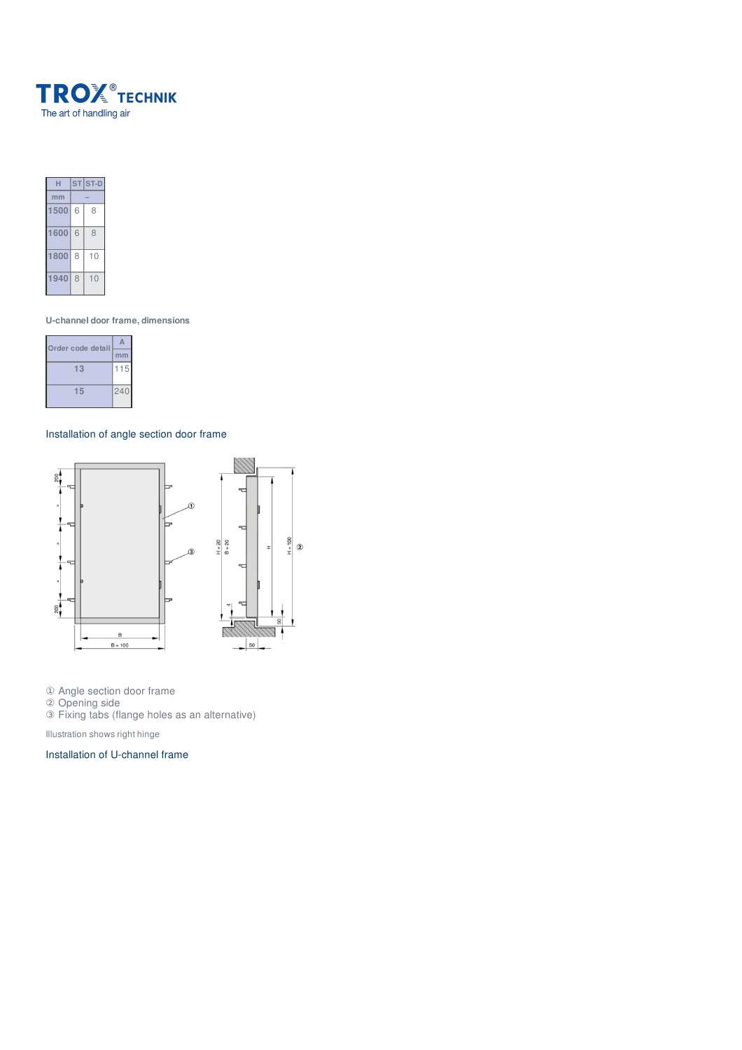



**U-channel door frame, dimensions**

| Order code detail |     |
|-------------------|-----|
|                   | mm  |
| 13                | 115 |
| 15                | 240 |

# Installation of angle section door frame



① Angle section door frame

② Opening side

③ Fixing tabs (flange holes as an alternative)

Illustration shows right hinge

Installation of U-channel frame